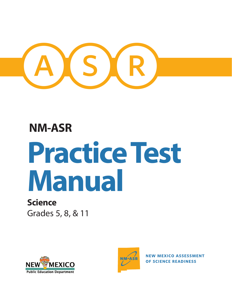

# **NM-ASR**

# **Practice Test Manual**

# **Science**

Grades 5, 8, & 11





**NEW MEXICO ASSESSMENT** OF SCIENCE READINESS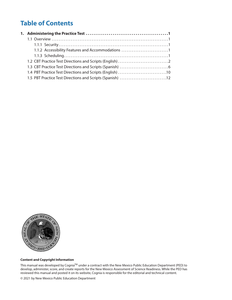## **Table of Contents**

| 1.1.2 Accessibility Features and Accommodations 1         |
|-----------------------------------------------------------|
|                                                           |
|                                                           |
|                                                           |
| 1.4 PBT Practice Test Directions and Scripts (English) 10 |
| 1.5 PBT Practice Test Directions and Scripts (Spanish) 12 |
|                                                           |



#### **Content and Copyright Information**

This manual was developed by Cognia™ under a contract with the New Mexico Public Education Department (PED) to develop, administer, score, and create reports for the New Mexico Assessment of Science Readiness. While the PED has reviewed this manual and posted it on its website, Cognia is responsible for the editorial and technical content.

© 2021 by New Mexico Public Education Department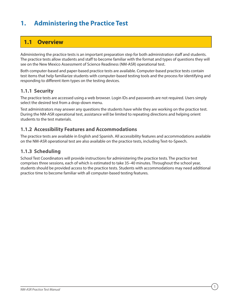## <span id="page-2-0"></span>**1. Administering the Practice Test**

## **1.1 Overview**

Administering the practice tests is an important preparation step for both administration staff and students. The practice tests allow students and staff to become familiar with the format and types of questions they will see on the New Mexico Assessment of Science Readiness (NM-ASR) operational test.

Both computer-based and paper-based practice tests are available. Computer-based practice tests contain test items that help familiarize students with computer-based testing tools and the process for identifying and responding to different item types on the testing devices.

## **1.1.1 Security**

The practice tests are accessed using a web browser. Login IDs and passwords are not required. Users simply select the desired test from a drop-down menu.

Test administrators may answer any questions the students have while they are working on the practice test. During the NM-ASR operational test, assistance will be limited to repeating directions and helping orient students to the test materials.

## **1.1.2 Accessibility Features and Accommodations**

The practice tests are available in English and Spanish. All accessibility features and accommodations available on the NM-ASR operational test are also available on the practice tests, including Text-to-Speech.

## **1.1.3 Scheduling**

School Test Coordinators will provide instructions for administering the practice tests. The practice test comprises three sessions, each of which is estimated to take 35–40 minutes. Throughout the school year, students should be provided access to the practice tests. Students with accommodations may need additional practice time to become familiar with all computer-based testing features.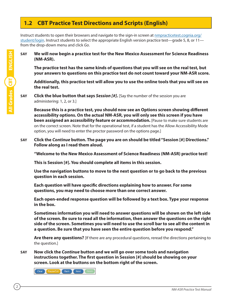## <span id="page-3-0"></span>**1.2 CBT Practice Test Directions and Scripts (English)**

Instruct students to open their browsers and navigate to the sign-in screen at [nmpracticetest.cognia.org/](https://nmpracticetest.cognia.org/student/login) [student/login.](https://nmpracticetest.cognia.org/student/login) Instruct students to select the appropriate English version practice test—grade 5, 8, or 11 from the drop-down menu and click *Go*.

**SAY We will now begin a practice test for the New Mexico Assessment for Science Readiness (NM-ASR).**

**The practice test has the same kinds of questions that you will see on the real test, but your answers to questions on this practice test do not count toward your NM-ASR score.**

**Additionally, this practice test will allow you to use the online tools that you will see on the real test.** 

**SAY Click the blue button that says** *Session [#]***.** [Say the number of the session you are administering: 1, 2, or 3.]

**Because this is a practice test, you should now see an Options screen showing different accessibility options. On the actual NM-ASR, you will only see this screen if you have been assigned an accessibility feature or accommodation.** [Pause to make sure students are on the correct screen. Note that for the operational test, if a student has the Allow Accessibility Mode option, you will need to enter the proctor password on the options page.]

**SAY Click the** *Continue* **button. The page you are on should be titled "Session [#] Directions." Follow along as I read them aloud.** 

**"Welcome to the New Mexico Assessment of Science Readiness (NM-ASR) practice test!** 

**This is Session [#]. You should complete all items in this session.**

**Use the navigation buttons to move to the next question or to go back to the previous question in each session.** 

**Each question will have specific directions explaining how to answer. For some questions, you may need to choose more than one correct answer.**

**Each open-ended response question will be followed by a text box. Type your response in the box.** 

**Sometimes information you will need to answer questions will be shown on the left side of the screen. Be sure to read all the information, then answer the questions on the right side of the screen. Sometimes you will need to use the scroll bar to see all the content in a question. Be sure that you have seen the entire question before you respond."** 

**Are there any questions?** [If there are any procedural questions, reread the directions pertaining to the question.]

**SAY Now click the** *Continue* **button and we will go over some tools and navigation instructions together. The first question in Session [#] should be showing on your screen. Look at the buttons on the bottom right of the screen.**

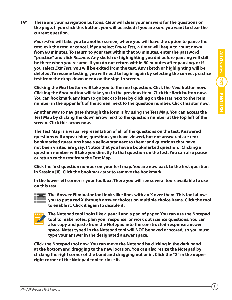**SAY These are your navigation buttons.** *Clear* **will clear your answers for the questions on the page. If you click this button, you will be asked if you are sure you want to clear the current question.** 

*Pause/Exit* **will take you to another screen, where you will have the option to pause the test, exit the test, or cancel. If you select** *Pause Test***, a timer will begin to count down from 60 minutes. To return to your test within that 60 minutes, enter the password "practice" and click** *Resume***. Any sketch or highlighting you did before pausing will still be there when you resume. If you do not return within 60 minutes after pausing, or if you select** *Exit Test***, you will be exited from the test. Any sketch or highlighting will be deleted. To resume testing, you will need to log in again by selecting the correct practice test from the drop-down menu on the sign-in screen.**

**Clicking the** *Next* **button will take you to the next question. Click the** *Next* **button now. Clicking the** *Back* **button will take you to the previous item. Click the** *Back* **button now. You can bookmark any item to go back to later by clicking on the star next to the item number in the upper left of the screen, next to the question number. Click this star now.**

**Another way to navigate through the form is by using the Test Map. You can access the Test Map by clicking the down arrow next to the question number at the top left of the screen. Click this arrow now.**

**The Test Map is a visual representation of all of the questions on the test. Answered questions will appear blue; questions you have viewed, but not answered are red; bookmarked questions have a yellow star next to them; and questions that have not been visited are gray. (Notice that you have a bookmarked question.) Clicking a question number will take you directly to that question on the test. You can also pause or return to the test from the Test Map.**

**Click the first question number on your test map. You are now back to the first question in Session [#]. Click the bookmark star to remove the bookmark.**

**In the lower-left corner is your toolbox. There you will see several tools available to use on this test.**



**The Answer Eliminator tool looks like lines with an X over them. This tool allows you to put a red X through answer choices on multiple choice items. Click the tool to enable it. Click it again to disable it.**



 **The Notepad tool looks like a pencil and a pad of paper. You can use the Notepad tool to make notes, plan your response, or work out science questions. You can also copy and paste from the Notepad into the constructed-response answer space. Notes typed in the Notepad tool will NOT be saved or scored, so you must type your answer in the designated answer space.**

**Click the Notepad tool now. You can move the Notepad by clicking in the dark band at the bottom and dragging to the new location. You can also resize the Notepad by clicking the right corner of the band and dragging out or in. Click the "X" in the upperright corner of the Notepad tool to close it.**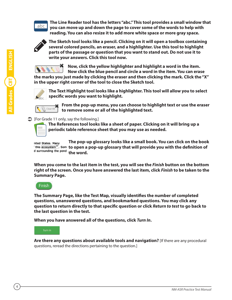## abc

 **The Line Reader tool has the letters "abc." This tool provides a small window that you can move up and down the page to cover some of the words to help with reading. You can also resize it to add more white space or more gray space.**



 **The Sketch tool looks like a pencil. Clicking on it will open a toolbox containing several colored pencils, an eraser, and a highlighter. Use this tool to highlight parts of the passage or question that you want to stand out. Do not use it to write your answers. Click this tool now.** 



**Now, click the yellow highlighter and highlight a word in the item. Now click the blue pencil and circle a word in the item. You can erase** 

**the marks you just made by clicking the eraser and then clicking the mark. Click the "X" in the upper right corner of the tool to close the Sketch tool.**



 **The Text Highlight tool looks like a highlighter. This tool will allow you to select specific words you want to highlight.**



 **From the pop-up menu, you can choose to highlight text or use the eraser to remove some or all of the highlighted text.**

## $\bullet$  [For Grade 11 only, say the following.]



 **The References tool looks like a sheet of paper. Clicking on it will bring up a periodic table reference sheet that you may use as needed.** 

 **The pop-up glossary looks like a small book. You can click on the book**  nited States. Many **this ecosystem<sup>** $\equiv$ **</sup>. Som to open a pop-up glossary that will provide you with the definition of** d surrounding the pond the word.

**When you come to the last item in the test, you will see the** *Finish* **button on the bottom right of the screen. Once you have answered the last item, click** *Finish* **to be taken to the Summary Page.**



**The Summary Page, like the Test Map, visually identifies the number of completed questions, unanswered questions, and bookmarked questions. You may click any question to return directly to that specific question or click** *Return to test* **to go back to the last question in the test.**

**When you have answered all of the questions, click** *Turn In***.**

## Turn In

**Are there any questions about available tools and navigation?** [If there are any procedural questions, reread the directions pertaining to the question.]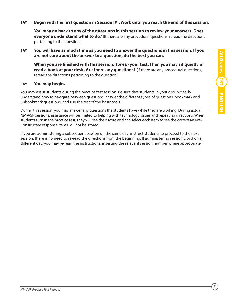## **SAY Begin with the first question in Session [#]. Work until you reach the end of this session.**

**You may go back to any of the questions in this session to review your answers. Does everyone understand what to do?** [If there are any procedural questions, reread the directions pertaining to the question.]

**SAY You will have as much time as you need to answer the questions in this session. If you are not sure about the answer to a question, do the best you can.**

**When you are finished with this session,** *Turn In* **your test. Then you may sit quietly or read a book at your desk. Are there any questions?** [If there are any procedural questions, reread the directions pertaining to the question.]

## **SAY You may begin.**

You may assist students during the practice test session. Be sure that students in your group clearly understand how to navigate between questions, answer the different types of questions, bookmark and unbookmark questions, and use the rest of the basic tools.

During this session, you may answer any questions the students have while they are working. During actual NM-ASR sessions, assistance will be limited to helping with technology issues and repeating directions. When students turn in the practice test, they will see their score and can select each item to see the correct answer. Constructed response items will not be scored.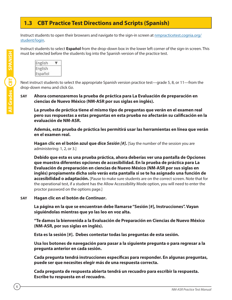## <span id="page-7-0"></span>**1.3 CBT Practice Test Directions and Scripts (Spanish)**

Instruct students to open their browsers and navigate to the sign-in screen at **[nmpracticetest.cognia.org/](https://nmpracticetest.cognia.org/student/login)** [student/login.](https://nmpracticetest.cognia.org/student/login)

Instruct students to select **Español** from the drop-down box in the lower left corner of the sign-in screen. This must be selected before the students log into the Spanish version of the practice test.



Next instruct students to select the appropriate Spanish version practice test—grade 5, 8, or 11—from the drop-down menu and click *Go*.

## **SAY Ahora comenzaremos la prueba de práctica para La Evaluación de preparación en ciencias de Nuevo México (NM-ASR por sus siglas en inglés).**

**La prueba de práctica tiene el mismo tipo de preguntas que verán en el examen real pero sus respuestas a estas preguntas en esta prueba no afectarán su calificación en la evaluación de NM-ASR.**

**Además, esta prueba de práctica les permitirá usar las herramientas en línea que verán en el examen real.** 

**Hagan clic en el botón azul que dice** *Sesión [#]***.** [Say the number of the session you are administering: 1, 2, or 3.]

**Debido que esta es una prueba práctica, ahora deberías ver una pantalla de Opciones que muestra diferentes opciones de accesibilidad. En la prueba de práctica para La Evaluación de preparación en ciencias de Nuevo México (NM-ASR por sus siglas en inglés) propiamente dicha solo verás esta pantalla si se te ha asignado una función de accesibilidad o adaptación.** [Pause to make sure students are on the correct screen. Note that for the operational test, if a student has the Allow Accessibility Mode option, you will need to enter the proctor password on the options page.]

## **SAY Hagan clic en el botón de** *Continuar***.**

**La página en la que se encuentran debe llamarse "Sesión [#], Instrucciones". Vayan siguiéndolas mientras que yo las leo en voz alta.** 

**"Te damos la bienvenida a la Evaluación de Preparación en Ciencias de Nuevo México (NM-ASR, por sus siglas en inglés).**

**Esta es la sesión [#]. Debes contestar todas las preguntas de esta sesión.**

**Usa los botones de navegación para pasar a la siguiente pregunta o para regresar a la pregunta anterior en cada sesión.** 

**Cada pregunta tendrá instrucciones específicas para responder. En algunas preguntas, puede ser que necesites elegir más de una respuesta correcta.**

**Cada pregunta de respuesta abierta tendrá un recuadro para escribir la respuesta. Escribe tu respuesta en el recuadro.**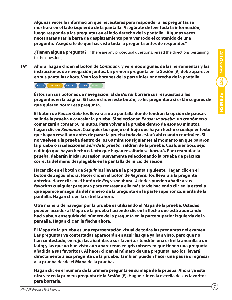**Algunas veces la información que necesitarás para responder a las preguntas se mostrará en el lado izquierdo de la pantalla. Asegúrate de leer toda la información, luego responde a las preguntas en el lado derecho de la pantalla. Algunas veces necesitarás usar la barra de desplazamiento para ver todo el contenido de una pregunta. Asegúrate de que has visto toda la pregunta antes de responder."**

**¿Tienen alguna pregunta?** [If there are any procedural questions, reread the directions pertaining to the question.]

**SAY Ahora, hagan clic en el botón de** *Continuar***, y veremos algunas de las herramientas y las instrucciones de navegación juntos. La primera pregunta en la Sesión [#] debe aparecer en sus pantallas ahora. Vean los botones de la parte inferior derecha de la pantalla.**

Borrar Pausar/Salir Regresar Seguir Termina

**Éstos son sus botones de navegación. El de** *Borrar* **borrará sus respuestas a las preguntas en la página. Si hacen clic en este botón, se les preguntará si están seguros de que quieren borrar esa pregunta.** 

**El botón de** *Pausar/Salir* **los llevará a otra pantalla donde tendrán la opción de pausar, salir de la prueba o cancelar la prueba. Si seleccionan** *Pausar la prueba***, un cronómetro comenzará a contar 60 minutos. Para volver a la prueba dentro de esos 60 minutos, hagan clic en** *Reanudar***. Cualquier bosquejo o dibujo que hayan hecho o cualquier texto que hayan resaltado antes de parar la prueba todavía estará ahí cuando continúen. Si no vuelven a la prueba dentro de los 60 minutos siguientes al momento en que pararon la prueba o si seleccionan** *Salir de la prueba***, saldrán de la prueba. Cualquier bosquejo o dibujo que hayan hecho o texto que hayan resaltado se borrará. Para reanudar la prueba, deberán iniciar su sesión nuevamente seleccionando la prueba de práctica correcta del menú desplegable en la pantalla de inicio de sesión.** 

**Hacer clic en el botón de** *Seguir* **los llevará a la pregunta siguiente. Hagan clic en el botón de** *Seguir* **ahora. Hacer clic en el botón de** *Regresar* **los llevará a la pregunta anterior. Hacer clic en el botón de** *Regresar* **ahora. Ustedes pueden añadir a sus favoritos cualquier pregunta para regresar a ella más tarde haciendo clic en la estrella que aparece enseguida del número de la pregunta en la parte superior izquierda de la pantalla. Hagan clic en la estrella ahora.** 

**Otra manera de navegar por la prueba es utilizando el Mapa de la prueba. Ustedes pueden acceder al Mapa de la prueba haciendo clic en la flecha que está apuntando hacia abajo enseguida del número de la pregunta en la parte superior izquierda de la pantalla. Hagan clic en la flecha ahora.**

**El Mapa de la prueba es una representación visual de todas las preguntas del examen. Las preguntas ya contestadas aparecerán en azul; las que ya han visto, pero que no han contestado, en rojo; las añadidas a sus favoritos tendrán una estrella amarilla a un lado; y las que no han visto aún aparecerán en gris (observen que tienen una pregunta añadida a sus favoritos). Al hacer clic en el número de una pregunta, eso los llevará directamente a esa pregunta de la prueba. También pueden hacer una pausa o regresar a la prueba desde el Mapa de la prueba.**

**Hagan clic en el número de la primera pregunta en su mapa de la prueba. Ahora ya está otra vez en la primera pregunta de la Sesión [#]. Hagan clic en la estrella de sus favoritos para borrarla.**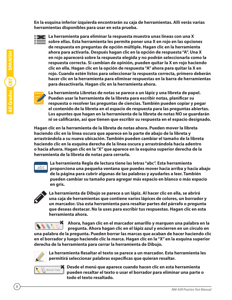**En la esquina inferior izquierda encontrarán su caja de herramientas. Allí verás varias herramientas disponibles para usar en esta prueba.**



 **La herramienta para eliminar la respuesta muestra unas líneas con una X<br>Sobre ellas. Esta herramienta les naturalits de la proprieta de la proprieta de la proprieta de la proprieta d sobre ellas. Esta herramienta les permite poner una X en rojo en las opciones de respuesta en preguntas de opción múltiple. Hagan clic en la herramienta ahora para activarla. Después hagan clic en la opción de respuesta "A". Una X en rojo aparecerá sobre la respuesta elegida y no podrán seleccionarla como la respuesta correcta. Si cambian de opinión, pueden quitar la X en rojo haciendo clic en ella. Hagan clic en la opción de respuesta "A" ahora para quitar la X en rojo. Cuando estén listos para seleccionar la respuesta correcta, primero deberán hacer clic en la herramienta para eliminar respuestas en la barra de herramientas para desactivarla. Hagan clic en la herramienta ahora.** 



 **La herramienta Libretas de notas se parece a un lápiz y una libreta de papel. Pueden usar la herramienta de la libreta para escribir notas, planificar su respuesta o resolver las preguntas de ciencias. También pueden copiar y pegar el contenido de la libreta en el espacio de respuesta para las preguntas abiertas. Los apuntes que hagan en la herramienta de la libreta de notas NO se guardarán ni se calificarán, así que tienen que escribir su respuesta en el espacio designado.**

**Hagan clic en la herramienta de la libreta de notas ahora. Pueden mover la libreta haciendo clic en la línea oscura que aparece en la parte de abajo de la libreta y arrastrándola a su nueva ubicación. También pueden cambiar el tamaño de la libreta haciendo clic en la esquina derecha de la línea oscura y arrastrándola hacia adentro o hacia afuera. Hagan clic en la "X" que aparece en la esquina superior derecha de la herramienta de la libreta de notas para cerrarla.**



 **La herramienta Regla de lectura tiene las letras "abc". Esta herramienta proporciona una pequeña ventana que puedes mover hacia arriba y hacia abajo de la página para cubrir algunas de las palabras y ayudarles a leer. También pueden cambiar su tamaño para agregar más espacio en blanco o más espacio en gris.**



 **La herramienta de Dibujo se parece a un lápiz. Al hacer clic en ella, se abrirá una caja de herramientas que contiene varios lápices de colores, un borrador y un marcador. Usa esta herramienta para resaltar partes del párrafo o pregunta que deseas destacar. No la uses para escribir tus respuestas. Hagan clic en esta herramienta ahora.** 

**Ahora, hagan clic en el marcador amarillo y marquen una palabra en la pregunta. Ahora hagan clic en el lápiz azul y encierren en un círculo en una palabra de la pregunta. Pueden borrar las marcas que acaban de hacer haciendo clic en el borrador y luego haciendo clic la marca. Hagan clic en la "X" en la esquina superior derecha de la herramienta para cerrar la herramienta de Dibujo.**



 **La herramienta Resaltar el texto se parece a un marcador. Esta herramienta les permitirá seleccionar palabras específicas que quieran resaltar.**



 **Desde el menú que aparece cuando hacen clic en esta herramienta pueden resaltar el texto o usar el borrador para eliminar una parte o todo el texto resaltado.**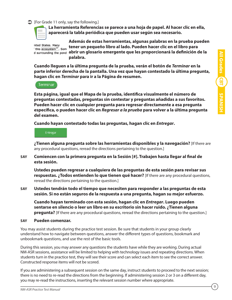#### $\triangleright$  [For Grade 11 only, say the following.]

 **La herramienta Referencias se parece a una hoja de papel. Al hacer clic en ella, aparecerá la tabla periódica que pueden usar según sea necesario.** 

nited States. Many this ecosystem<sup>27</sup>. Som

 **Además de estas herramientas, algunas palabras en la prueba pueden tener un pequeño libro al lado. Pueden hacer clic en el libro para**  d surrounding the pond abrir un glosario emergente que les proporcionará la definición de la **palabra.**

**Cuando lleguen a la última pregunta de la prueba, verán el botón de** *Terminar* **en la parte inferior derecha de la pantalla. Una vez que hayan contestado la última pregunta, hagan clic en** *Terminar* **para ir a la Página de resumen.**

Terminar

**Esta página, igual que el Mapa de la prueba, identifica visualmente el número de preguntas contestadas, preguntas sin contestar y preguntas añadidas a sus favoritos. Pueden hacer clic en cualquier pregunta para regresar directamente a esa pregunta específica, o pueden hacer clic en** *Regresar a la prueba* **para volver a la última pregunta del examen.**

**Cuando hayan contestado todas las preguntas, hagan clic en** *Entregar***.**

#### Entregar

**¿Tienen alguna pregunta sobre las herramientas disponibles y la navegación?** [If there are any procedural questions, reread the directions pertaining to the question.]

**SAY Comiencen con la primera pregunta en la Sesión [#]. Trabajen hasta llegar al final de esta sesión.**

**Ustedes pueden regresar a cualquiera de las preguntas de esta sesión para revisar sus respuestas. ¿Todos entienden lo que tienen qué hacer?** [If there are any procedural questions, reread the directions pertaining to the question.]

**SAY Ustedes tendrán todo el tiempo que necesiten para responder a las preguntas de esta sesión. Si no están seguros de la respuesta a una pregunta, hagan su mejor esfuerzo.**

**Cuando hayan terminado con esta sesión, hagan clic en** *Entregar***. Luego pueden sentarse en silencio o leer un libro en su escritorio sin hacer ruido. ¿Tienen alguna pregunta?** [If there are any procedural questions, reread the directions pertaining to the question.]

#### **SAY Pueden comenzar.**

You may assist students during the practice test session. Be sure that students in your group clearly understand how to navigate between questions, answer the different types of questions, bookmark and unbookmark questions, and use the rest of the basic tools.

During this session, you may answer any questions the students have while they are working. During actual NM-ASR sessions, assistance will be limited to helping with technology issues and repeating directions. When students turn in the practice test, they will see their score and can select each item to see the correct answer. Constructed response items will not be scored.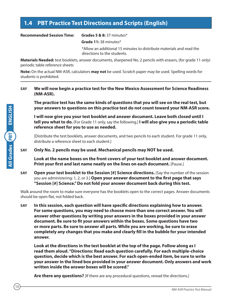## <span id="page-11-0"></span>**1.4 PBT Practice Test Directions and Scripts (English)**

#### **Recommended Session Time: Grades 5 & 8:** 37 minutes\*

**Grade 11:** 38 minutes\*

\*Allow an additional 15 minutes to distribute materials and read the directions to the students.

**Materials Needed:** test booklets, answer documents, sharpened No. 2 pencils with erasers, (for grade 11 only) periodic table reference sheets

**Note:** On the actual NM-ASR, calculators **may not** be used. Scratch paper may be used. Spelling words for students is prohibited.

## **SAY We will now begin a practice test for the New Mexico Assessment for Science Readiness (NM-ASR).**

**The practice test has the same kinds of questions that you will see on the real test, but your answers to questions on this practice test do not count toward your NM-ASR score.**

**I will now give you your test booklet and answer document. Leave both closed until I tell you what to do.** [For Grade 11 only, say the following.] **I will also give you a periodic table reference sheet for you to use as needed.**

[Distribute the test booklets, answer documents, and two pencils to each student. For grade 11 only, distribute a reference sheet to each student.]

**SAY Only No. 2 pencils may be used. Mechanical pencils may NOT be used.**

**Look at the name boxes on the front covers of your test booklet and answer document. Print your first and last name neatly on the lines on each document.** [Pause.]

**SAY Open your test booklet to the Session [#] Science directions.** [Say the number of the session you are administering: 1, 2, or 3.] **Open your answer document to the first page that says "Session [#] Science." Do not fold your answer document back during this test.**

Walk around the room to make sure everyone has the booklets open to the correct pages. Answer documents should be open flat, not folded back.

**SAY In this session, each question will have specific directions explaining how to answer. For some questions, you may need to choose more than one correct answer. You will answer other questions by writing your answers in the boxes provided in your answer document. Be sure to fit your answers within the boxes. Some questions have two or more parts. Be sure to answer all parts. While you are working, be sure to erase completely any changes that you make and clearly fill in the bubble for your intended answer.**

**Look at the directions in the test booklet at the top of the page. Follow along as I read them aloud. "Directions: Read each question carefully. For each multiple-choice question, decide which is the best answer. For each open-ended item, be sure to write your answer in the lined box provided in your answer document. Only answers and work written inside the answer boxes will be scored."** 

**Are there any questions?** [If there are any procedural questions, reread the directions.]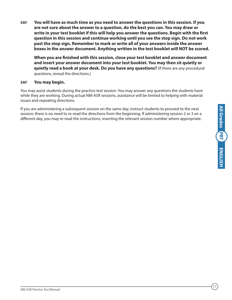**SAY You will have as much time as you need to answer the questions in this session. If you are not sure about the answer to a question, do the best you can. You may draw or write in your test booklet if this will help you answer the questions. Begin with the first question in this session and continue working until you see the stop sign. Do not work past the stop sign. Remember to mark or write all of your answers inside the answer boxes in the answer document. Anything written in the test booklet will NOT be scored.**

**When you are finished with this session, close your test booklet and answer document and insert your answer document into your test booklet. You may then sit quietly or quietly read a book at your desk. Do you have any questions?** [If there are any procedural questions, reread the directions.]

## **SAY You may begin.**

You may assist students during the practice test session. You may answer any questions the students have while they are working. During actual NM-ASR sessions, assistance will be limited to helping with material issues and repeating directions.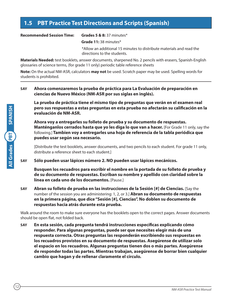## <span id="page-13-0"></span>**1.5 PBT Practice Test Directions and Scripts (Spanish)**

#### **Recommended Session Time: Grades 5 & 8:** 37 minutes\*

12

**All Grades SPANISH**

**SPANISH** 

**All Grades** PBT

**Grade 11:** 38 minutes\*

\*Allow an additional 15 minutes to distribute materials and read the directions to the students.

**Materials Needed:** test booklets, answer documents, sharpened No. 2 pencils with erasers, Spanish-English glossaries of science terms, (for grade 11 only) periodic table reference sheets

**Note:** On the actual NM-ASR, calculators **may not** be used. Scratch paper may be used. Spelling words for students is prohibited.

## **SAY Ahora comenzaremos la prueba de práctica para La Evaluación de preparación en ciencias de Nuevo México (NM-ASR por sus siglas en inglés).**

**La prueba de práctica tiene el mismo tipo de preguntas que verán en el examen real pero sus respuestas a estas preguntas en esta prueba no afectarán su calificación en la evaluación de NM-ASR.** 

**Ahora voy a entregarles su folleto de prueba y su documento de respuestas. Manténganlos cerrados hasta que yo les diga lo que van a hacer.** [For Grade 11 only, say the following.] **Tambien voy a entregarles una hoja de referencia de la tabla periódica que puedes usar según sea necesario.**

[Distribute the test booklets, answer documents, and two pencils to each student. For grade 11 only, distribute a reference sheet to each student.]

**SAY Sólo pueden usar lápices número 2. NO pueden usar lápices mecánicos.**

**Busquen los recuadros para escribir el nombre en la portada de su folleto de prueba y de su documento de respuestas. Escriban su nombre y apellido con claridad sobre la línea en cada uno de los documentos.** [Pause.]

**SAY Abran su folleto de prueba en las instrucciones de la Sesión [#] de Ciencias.** [Say the number of the session you are administering: 1, 2, or 3.] **Abran su documento de respuestas en la primera página, que dice "Sesión [#], Ciencias". No doblen su documento de respuestas hacia atrás durante esta prueba.**

Walk around the room to make sure everyone has the booklets open to the correct pages. Answer documents should be open flat, not folded back.

**SAY En esta sesión, cada pregunta tendrá instrucciones específicas explicando cómo responder. Para algunas preguntas, puede ser que necesites elegir más de una respuesta correcta. Otras preguntas las responderán escribiendo sus respuestas en los recuadros provistos en su documento de respuestas. Asegúrense de utilizar solo el espacio en los recuadros. Algunas preguntas tienen dos o más partes. Asegúrense de responder todas las partes. Mientras trabajan, asegúrense de borrar bien cualquier cambio que hagan y de rellenar claramente el círculo.**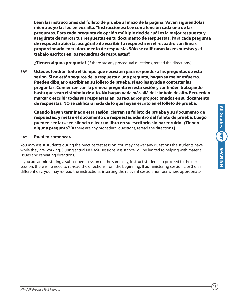**Lean las instrucciones del folleto de prueba al inicio de la página. Vayan siguiéndolas mientras yo las leo en voz alta. "Instrucciones: Lee con atención cada una de las preguntas. Para cada pregunta de opción múltiple decide cuál es la mejor respuesta y asegúrate de marcar tus respuestas en tu documento de respuestas. Para cada pregunta de respuesta abierta, asegúrate de escribir tu respuesta en el recuadro con líneas proporcionado en tu documento de respuesta. Sólo se calificarán las respuestas y el trabajo escritos en los recuadros de respuestas".** 

**¿Tienen alguna pregunta?** [If there are any procedural questions, reread the directions.]

**SAY Ustedes tendrán todo el tiempo que necesiten para responder a las preguntas de esta sesión. Si no están seguros de la respuesta a una pregunta, hagan su mejor esfuerzo. Pueden dibujar o escribir en su folleto de prueba, si eso les ayuda a contestar las preguntas. Comiencen con la primera pregunta en esta sesión y continúen trabajando hasta que vean el simbolo de alto. No hagan nada más allá del simbolo de alto. Recuerden marcar o escribir todas sus respuestas en los recuadros proporcionados en su documento de respuestas. NO se calificará nada de lo que hayan escrito en el folleto de prueba.**

**Cuando hayan terminado esta sesión, cierren su folleto de prueba y su documento de respuestas, y metan el documento de respuestas adentro del folleto de prueba. Luego, pueden sentarse en silencio o leer un libro en su escritorio sin hacer ruido. ¿Tienen alguna pregunta?** [If there are any procedural questions, reread the directions.]

## **SAY Pueden comenzar.**

You may assist students during the practice test session. You may answer any questions the students have while they are working. During actual NM-ASR sessions, assistance will be limited to helping with material issues and repeating directions.